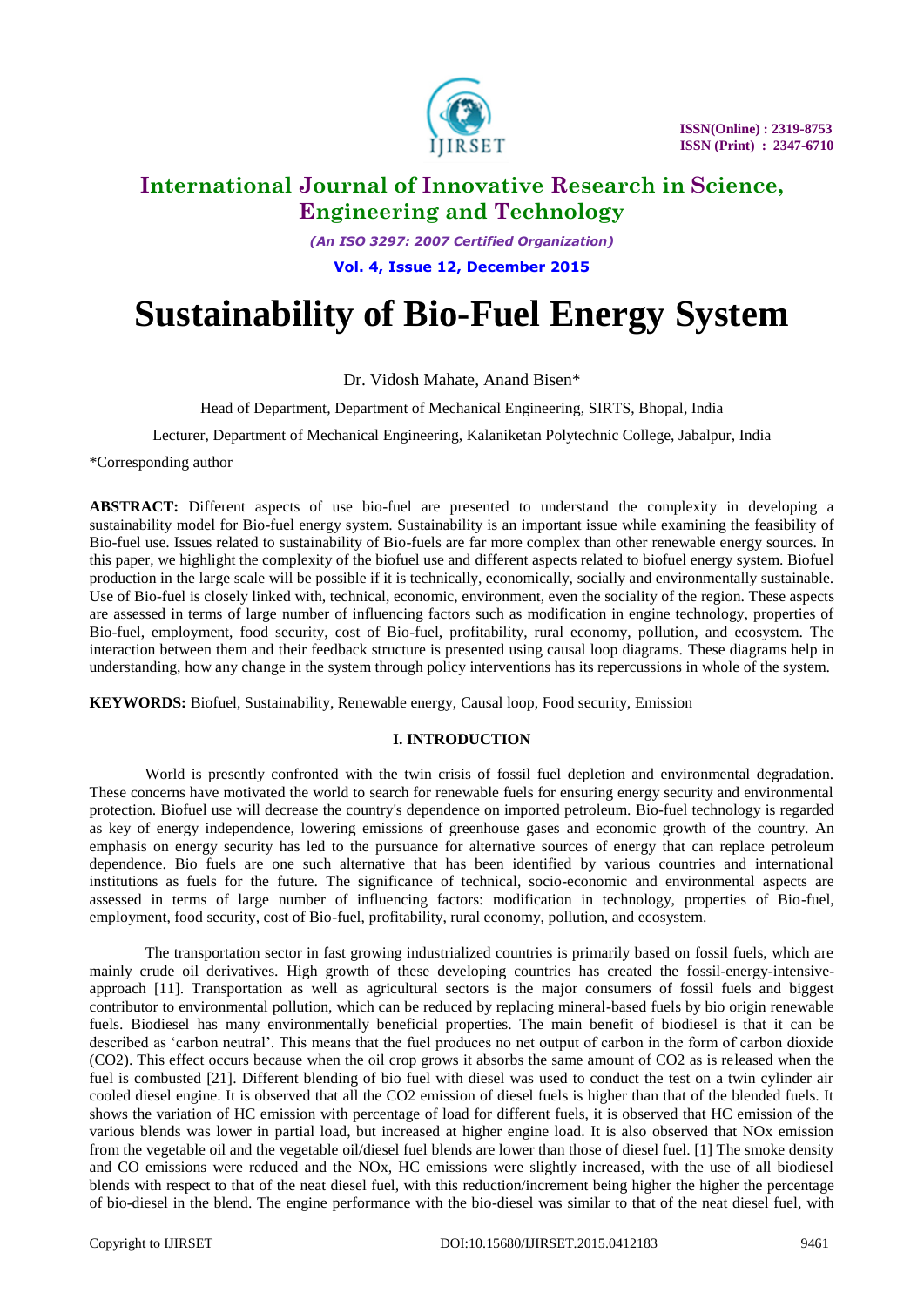

*(An ISO 3297: 2007 Certified Organization)*

**Vol. 4, Issue 12, December 2015**

# **Sustainability of Bio-Fuel Energy System**

Dr. Vidosh Mahate, Anand Bisen\*

Head of Department, Department of Mechanical Engineering, SIRTS, Bhopal, India

Lecturer, Department of Mechanical Engineering, Kalaniketan Polytechnic College, Jabalpur, India

\*Corresponding author

**ABSTRACT:** Different aspects of use bio-fuel are presented to understand the complexity in developing a sustainability model for Bio-fuel energy system. Sustainability is an important issue while examining the feasibility of Bio-fuel use. Issues related to sustainability of Bio-fuels are far more complex than other renewable energy sources. In this paper, we highlight the complexity of the biofuel use and different aspects related to biofuel energy system. Biofuel production in the large scale will be possible if it is technically, economically, socially and environmentally sustainable. Use of Bio-fuel is closely linked with, technical, economic, environment, even the sociality of the region. These aspects are assessed in terms of large number of influencing factors such as modification in engine technology, properties of Bio-fuel, employment, food security, cost of Bio-fuel, profitability, rural economy, pollution, and ecosystem. The interaction between them and their feedback structure is presented using causal loop diagrams. These diagrams help in understanding, how any change in the system through policy interventions has its repercussions in whole of the system.

**KEYWORDS:** Biofuel, Sustainability, Renewable energy, Causal loop, Food security, Emission

### **I. INTRODUCTION**

World is presently confronted with the twin crisis of fossil fuel depletion and environmental degradation. These concerns have motivated the world to search for renewable fuels for ensuring energy security and environmental protection. Biofuel use will decrease the country's dependence on imported petroleum. Bio-fuel technology is regarded as key of energy independence, lowering emissions of greenhouse gases and economic growth of the country. An emphasis on energy security has led to the pursuance for alternative sources of energy that can replace petroleum dependence. Bio fuels are one such alternative that has been identified by various countries and international institutions as fuels for the future. The significance of technical, socio-economic and environmental aspects are assessed in terms of large number of influencing factors: modification in technology, properties of Bio-fuel, employment, food security, cost of Bio-fuel, profitability, rural economy, pollution, and ecosystem.

The transportation sector in fast growing industrialized countries is primarily based on fossil fuels, which are mainly crude oil derivatives. High growth of these developing countries has created the fossil-energy-intensiveapproach [11]. Transportation as well as agricultural sectors is the major consumers of fossil fuels and biggest contributor to environmental pollution, which can be reduced by replacing mineral-based fuels by bio origin renewable fuels. Biodiesel has many environmentally beneficial properties. The main benefit of biodiesel is that it can be described as 'carbon neutral'. This means that the fuel produces no net output of carbon in the form of carbon dioxide (CO2). This effect occurs because when the oil crop grows it absorbs the same amount of CO2 as is released when the fuel is combusted [21]. Different blending of bio fuel with diesel was used to conduct the test on a twin cylinder air cooled diesel engine. It is observed that all the CO2 emission of diesel fuels is higher than that of the blended fuels. It shows the variation of HC emission with percentage of load for different fuels, it is observed that HC emission of the various blends was lower in partial load, but increased at higher engine load. It is also observed that NOx emission from the vegetable oil and the vegetable oil/diesel fuel blends are lower than those of diesel fuel. [1] The smoke density and CO emissions were reduced and the NOx, HC emissions were slightly increased, with the use of all biodiesel blends with respect to that of the neat diesel fuel, with this reduction/increment being higher the higher the percentage of bio-diesel in the blend. The engine performance with the bio-diesel was similar to that of the neat diesel fuel, with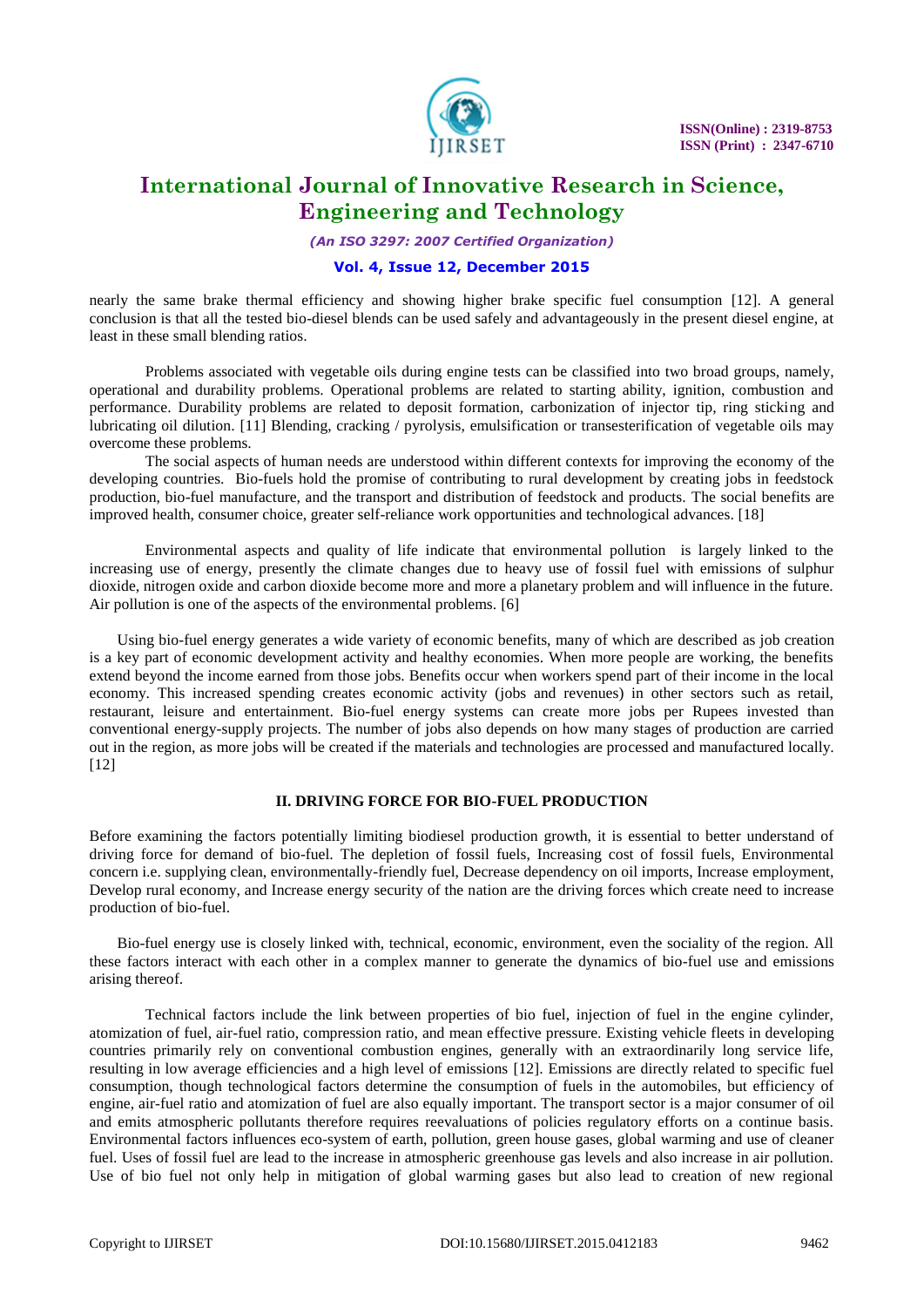

*(An ISO 3297: 2007 Certified Organization)*

### **Vol. 4, Issue 12, December 2015**

nearly the same brake thermal efficiency and showing higher brake specific fuel consumption [12]. A general conclusion is that all the tested bio-diesel blends can be used safely and advantageously in the present diesel engine, at least in these small blending ratios.

Problems associated with vegetable oils during engine tests can be classified into two broad groups, namely, operational and durability problems. Operational problems are related to starting ability, ignition, combustion and performance. Durability problems are related to deposit formation, carbonization of injector tip, ring sticking and lubricating oil dilution. [11] Blending, cracking / pyrolysis, emulsification or transesterification of vegetable oils may overcome these problems.

The social aspects of human needs are understood within different contexts for improving the economy of the developing countries. Bio-fuels hold the promise of contributing to rural development by creating jobs in feedstock production, bio-fuel manufacture, and the transport and distribution of feedstock and products. The social benefits are improved health, consumer choice, greater self-reliance work opportunities and technological advances. [18]

Environmental aspects and quality of life indicate that environmental pollution is largely linked to the increasing use of energy, presently the climate changes due to heavy use of fossil fuel with emissions of sulphur dioxide, nitrogen oxide and carbon dioxide become more and more a planetary problem and will influence in the future. Air pollution is one of the aspects of the environmental problems. [6]

Using bio-fuel energy generates a wide variety of economic benefits, many of which are described as job creation is a key part of economic development activity and healthy economies. When more people are working, the benefits extend beyond the income earned from those jobs. Benefits occur when workers spend part of their income in the local economy. This increased spending creates economic activity (jobs and revenues) in other sectors such as retail, restaurant, leisure and entertainment. Bio-fuel energy systems can create more jobs per Rupees invested than conventional energy-supply projects. The number of jobs also depends on how many stages of production are carried out in the region, as more jobs will be created if the materials and technologies are processed and manufactured locally. [12]

### **II. DRIVING FORCE FOR BIO-FUEL PRODUCTION**

Before examining the factors potentially limiting biodiesel production growth, it is essential to better understand of driving force for demand of bio-fuel. The depletion of fossil fuels, Increasing cost of fossil fuels, Environmental concern i.e. supplying clean, environmentally-friendly fuel, Decrease dependency on oil imports, Increase employment, Develop rural economy, and Increase energy security of the nation are the driving forces which create need to increase production of bio-fuel.

Bio-fuel energy use is closely linked with, technical, economic, environment, even the sociality of the region. All these factors interact with each other in a complex manner to generate the dynamics of bio-fuel use and emissions arising thereof.

Technical factors include the link between properties of bio fuel, injection of fuel in the engine cylinder, atomization of fuel, air-fuel ratio, compression ratio, and mean effective pressure. Existing vehicle fleets in developing countries primarily rely on conventional combustion engines, generally with an extraordinarily long service life, resulting in low average efficiencies and a high level of emissions [12]. Emissions are directly related to specific fuel consumption, though technological factors determine the consumption of fuels in the automobiles, but efficiency of engine, air-fuel ratio and atomization of fuel are also equally important. The transport sector is a major consumer of oil and emits atmospheric pollutants therefore requires reevaluations of policies regulatory efforts on a continue basis. Environmental factors influences eco-system of earth, pollution, green house gases, global warming and use of cleaner fuel. Uses of fossil fuel are lead to the increase in atmospheric greenhouse gas levels and also increase in air pollution. Use of bio fuel not only help in mitigation of global warming gases but also lead to creation of new regional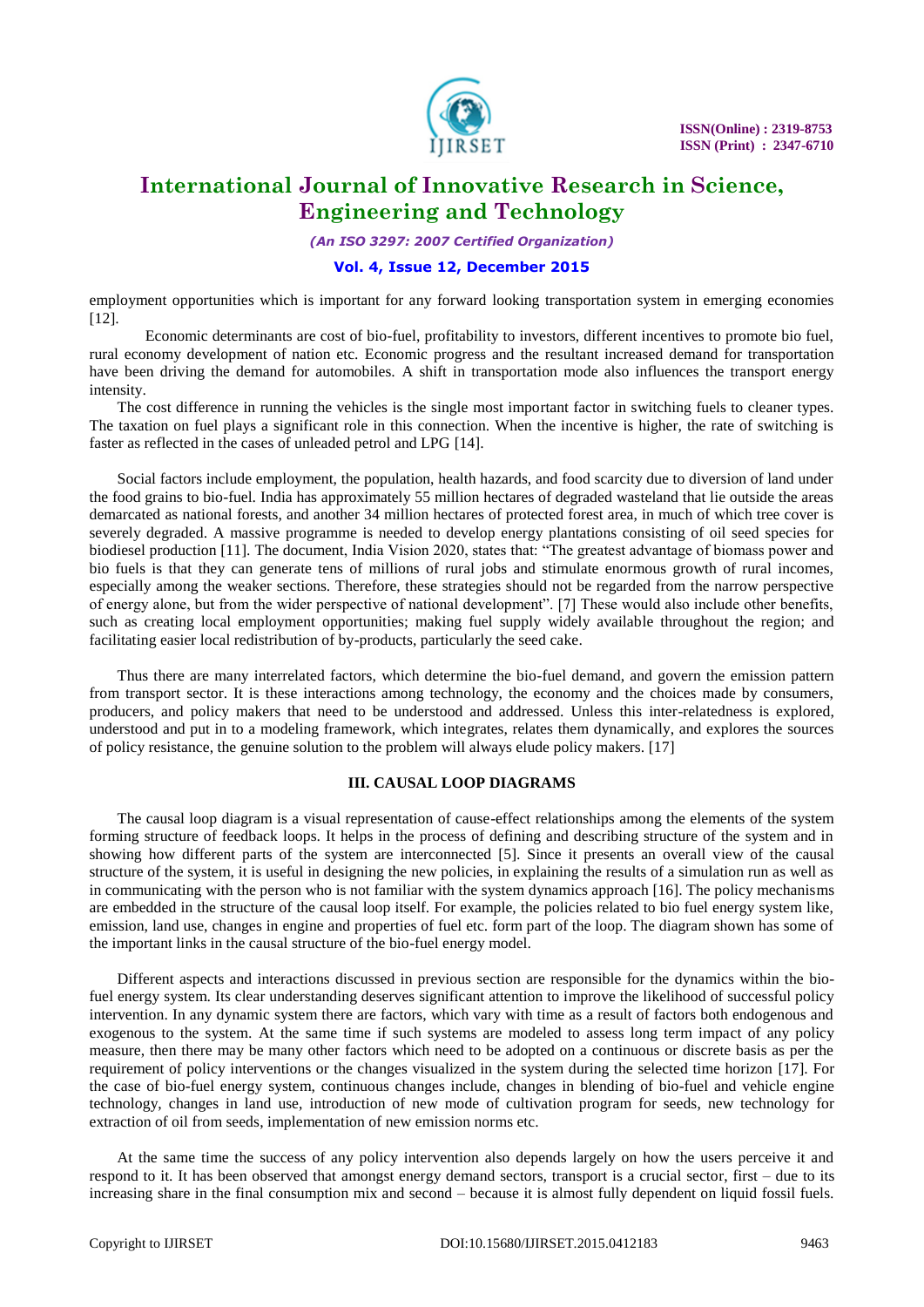

*(An ISO 3297: 2007 Certified Organization)*

### **Vol. 4, Issue 12, December 2015**

employment opportunities which is important for any forward looking transportation system in emerging economies [12].

Economic determinants are cost of bio-fuel, profitability to investors, different incentives to promote bio fuel, rural economy development of nation etc. Economic progress and the resultant increased demand for transportation have been driving the demand for automobiles. A shift in transportation mode also influences the transport energy intensity.

The cost difference in running the vehicles is the single most important factor in switching fuels to cleaner types. The taxation on fuel plays a significant role in this connection. When the incentive is higher, the rate of switching is faster as reflected in the cases of unleaded petrol and LPG [14].

Social factors include employment, the population, health hazards, and food scarcity due to diversion of land under the food grains to bio-fuel. India has approximately 55 million hectares of degraded wasteland that lie outside the areas demarcated as national forests, and another 34 million hectares of protected forest area, in much of which tree cover is severely degraded. A massive programme is needed to develop energy plantations consisting of oil seed species for biodiesel production [11]. The document, India Vision 2020, states that: "The greatest advantage of biomass power and bio fuels is that they can generate tens of millions of rural jobs and stimulate enormous growth of rural incomes, especially among the weaker sections. Therefore, these strategies should not be regarded from the narrow perspective of energy alone, but from the wider perspective of national development". [7] These would also include other benefits, such as creating local employment opportunities; making fuel supply widely available throughout the region; and facilitating easier local redistribution of by-products, particularly the seed cake.

Thus there are many interrelated factors, which determine the bio-fuel demand, and govern the emission pattern from transport sector. It is these interactions among technology, the economy and the choices made by consumers, producers, and policy makers that need to be understood and addressed. Unless this inter-relatedness is explored, understood and put in to a modeling framework, which integrates, relates them dynamically, and explores the sources of policy resistance, the genuine solution to the problem will always elude policy makers. [17]

#### **III. CAUSAL LOOP DIAGRAMS**

The causal loop diagram is a visual representation of cause-effect relationships among the elements of the system forming structure of feedback loops. It helps in the process of defining and describing structure of the system and in showing how different parts of the system are interconnected [5]. Since it presents an overall view of the causal structure of the system, it is useful in designing the new policies, in explaining the results of a simulation run as well as in communicating with the person who is not familiar with the system dynamics approach [16]. The policy mechanisms are embedded in the structure of the causal loop itself. For example, the policies related to bio fuel energy system like, emission, land use, changes in engine and properties of fuel etc. form part of the loop. The diagram shown has some of the important links in the causal structure of the bio-fuel energy model.

Different aspects and interactions discussed in previous section are responsible for the dynamics within the biofuel energy system. Its clear understanding deserves significant attention to improve the likelihood of successful policy intervention. In any dynamic system there are factors, which vary with time as a result of factors both endogenous and exogenous to the system. At the same time if such systems are modeled to assess long term impact of any policy measure, then there may be many other factors which need to be adopted on a continuous or discrete basis as per the requirement of policy interventions or the changes visualized in the system during the selected time horizon [17]. For the case of bio-fuel energy system, continuous changes include, changes in blending of bio-fuel and vehicle engine technology, changes in land use, introduction of new mode of cultivation program for seeds, new technology for extraction of oil from seeds, implementation of new emission norms etc.

At the same time the success of any policy intervention also depends largely on how the users perceive it and respond to it. It has been observed that amongst energy demand sectors, transport is a crucial sector, first – due to its increasing share in the final consumption mix and second – because it is almost fully dependent on liquid fossil fuels.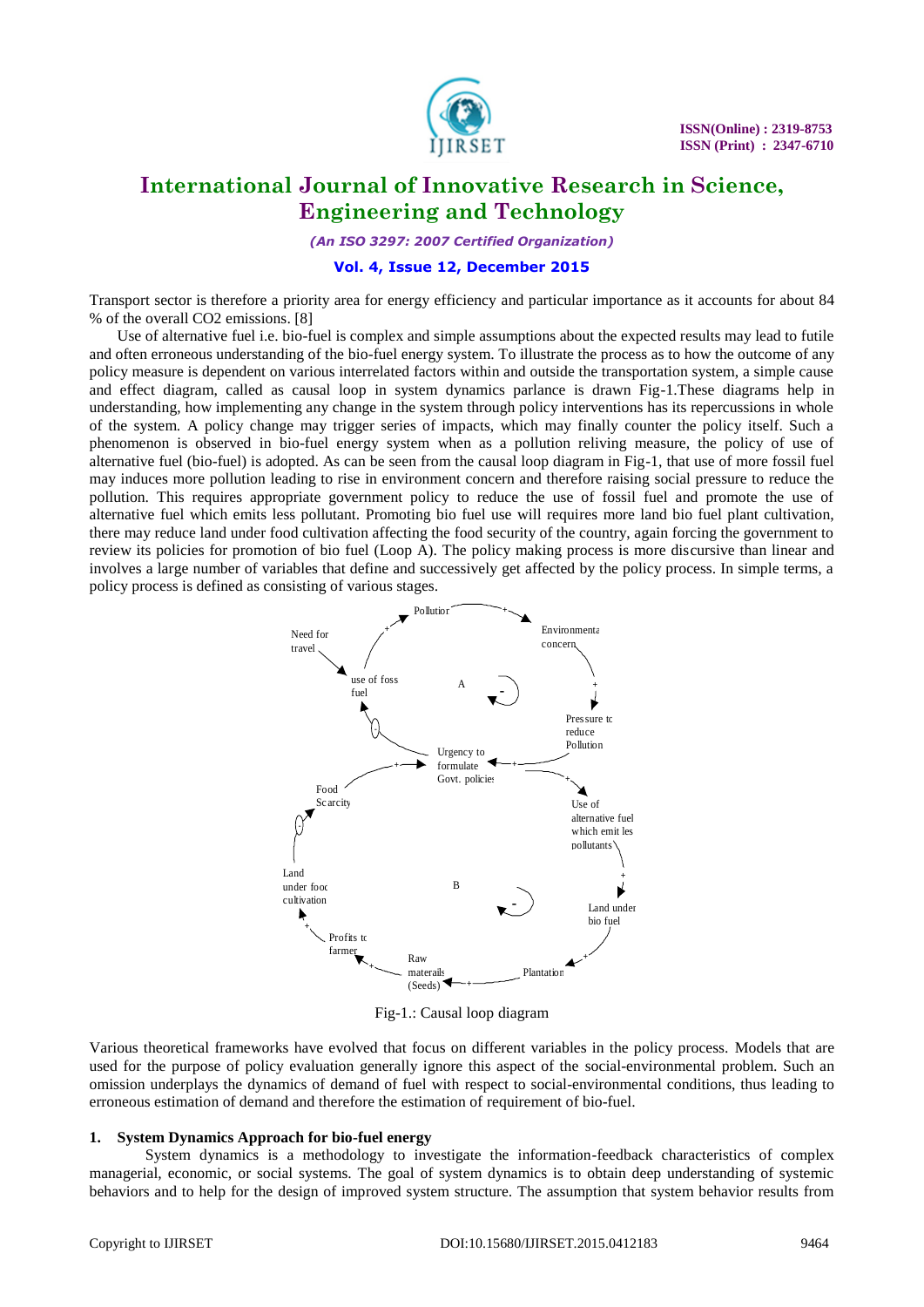

*(An ISO 3297: 2007 Certified Organization)*

#### **Vol. 4, Issue 12, December 2015**

Transport sector is therefore a priority area for energy efficiency and particular importance as it accounts for about 84 % of the overall CO2 emissions. [8]

Use of alternative fuel i.e. bio-fuel is complex and simple assumptions about the expected results may lead to futile and often erroneous understanding of the bio-fuel energy system. To illustrate the process as to how the outcome of any policy measure is dependent on various interrelated factors within and outside the transportation system, a simple cause and effect diagram, called as causal loop in system dynamics parlance is drawn Fig-1.These diagrams help in understanding, how implementing any change in the system through policy interventions has its repercussions in whole of the system. A policy change may trigger series of impacts, which may finally counter the policy itself. Such a phenomenon is observed in bio-fuel energy system when as a pollution reliving measure, the policy of use of alternative fuel (bio-fuel) is adopted. As can be seen from the causal loop diagram in Fig-1, that use of more fossil fuel may induces more pollution leading to rise in environment concern and therefore raising social pressure to reduce the pollution. This requires appropriate government policy to reduce the use of fossil fuel and promote the use of alternative fuel which emits less pollutant. Promoting bio fuel use will requires more land bio fuel plant cultivation, there may reduce land under food cultivation affecting the food security of the country, again forcing the government to review its policies for promotion of bio fuel (Loop A). The policy making process is more discursive than linear and involves a large number of variables that define and successively get affected by the policy process. In simple terms, a policy process is defined as consisting of various stages.



Fig-1.: Causal loop diagram

Various theoretical frameworks have evolved that focus on different variables in the policy process. Models that are used for the purpose of policy evaluation generally ignore this aspect of the social-environmental problem. Such an omission underplays the dynamics of demand of fuel with respect to social-environmental conditions, thus leading to erroneous estimation of demand and therefore the estimation of requirement of bio-fuel.

#### **1. System Dynamics Approach for bio-fuel energy**

System dynamics is a methodology to investigate the information-feedback characteristics of complex managerial, economic, or social systems. The goal of system dynamics is to obtain deep understanding of systemic behaviors and to help for the design of improved system structure. The assumption that system behavior results from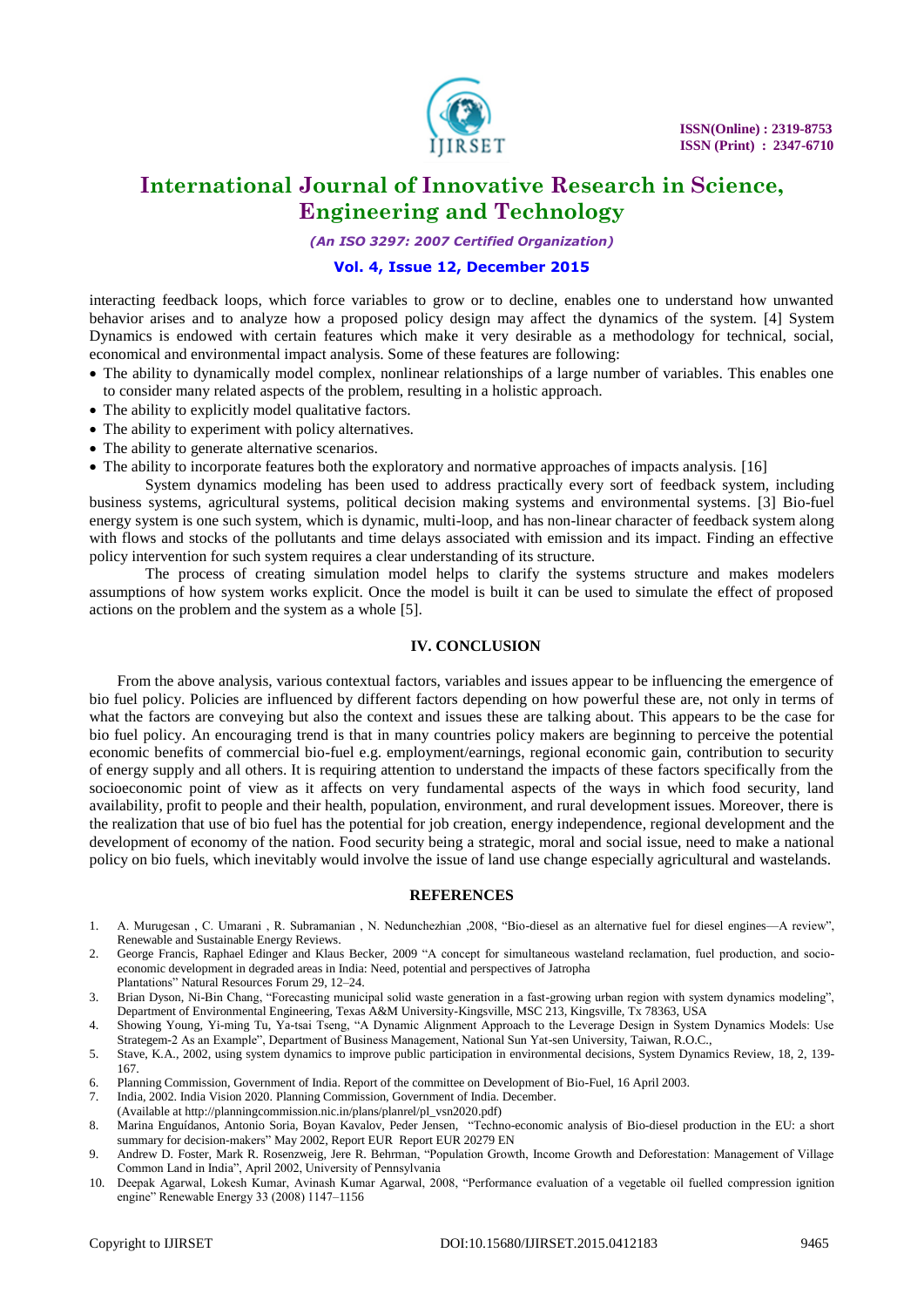

*(An ISO 3297: 2007 Certified Organization)*

### **Vol. 4, Issue 12, December 2015**

interacting feedback loops, which force variables to grow or to decline, enables one to understand how unwanted behavior arises and to analyze how a proposed policy design may affect the dynamics of the system. [4] System Dynamics is endowed with certain features which make it very desirable as a methodology for technical, social, economical and environmental impact analysis. Some of these features are following:

- The ability to dynamically model complex, nonlinear relationships of a large number of variables. This enables one to consider many related aspects of the problem, resulting in a holistic approach.
- The ability to explicitly model qualitative factors.
- The ability to experiment with policy alternatives.
- The ability to generate alternative scenarios.
- The ability to incorporate features both the exploratory and normative approaches of impacts analysis. [16]

System dynamics modeling has been used to address practically every sort of feedback system, including business systems, agricultural systems, political decision making systems and environmental systems. [3] Bio-fuel energy system is one such system, which is dynamic, multi-loop, and has non-linear character of feedback system along with flows and stocks of the pollutants and time delays associated with emission and its impact. Finding an effective policy intervention for such system requires a clear understanding of its structure.

The process of creating simulation model helps to clarify the systems structure and makes modelers assumptions of how system works explicit. Once the model is built it can be used to simulate the effect of proposed actions on the problem and the system as a whole [5].

### **IV. CONCLUSION**

From the above analysis, various contextual factors, variables and issues appear to be influencing the emergence of bio fuel policy. Policies are influenced by different factors depending on how powerful these are, not only in terms of what the factors are conveying but also the context and issues these are talking about. This appears to be the case for bio fuel policy. An encouraging trend is that in many countries policy makers are beginning to perceive the potential economic benefits of commercial bio-fuel e.g. employment/earnings, regional economic gain, contribution to security of energy supply and all others. It is requiring attention to understand the impacts of these factors specifically from the socioeconomic point of view as it affects on very fundamental aspects of the ways in which food security, land availability, profit to people and their health, population, environment, and rural development issues. Moreover, there is the realization that use of bio fuel has the potential for job creation, energy independence, regional development and the development of economy of the nation. Food security being a strategic, moral and social issue, need to make a national policy on bio fuels, which inevitably would involve the issue of land use change especially agricultural and wastelands.

#### **REFERENCES**

- 1. A. Murugesan , C. Umarani , R. Subramanian , N. Nedunchezhian ,2008, "Bio-diesel as an alternative fuel for diesel engines—A review", Renewable and Sustainable Energy Reviews.
- 2. George Francis, Raphael Edinger and Klaus Becker, 2009 "A concept for simultaneous wasteland reclamation, fuel production, and socioeconomic development in degraded areas in India: Need, potential and perspectives of Jatropha
- Plantations‖ Natural Resources Forum 29, 12–24. 3. Brian Dyson, Ni-Bin Chang, "Forecasting municipal solid waste generation in a fast-growing urban region with system dynamics modeling", Department of Environmental Engineering, Texas A&M University-Kingsville, MSC 213, Kingsville, Tx 78363, USA
- 4. Showing Young, Yi-ming Tu, Ya-tsai Tseng, "A Dynamic Alignment Approach to the Leverage Design in System Dynamics Models: Use Strategem-2 As an Example", Department of Business Management, National Sun Yat-sen University, Taiwan, R.O.C.,
- 5. Stave, K.A., 2002, using system dynamics to improve public participation in environmental decisions, System Dynamics Review, 18, 2, 139- 167.
- 6. Planning Commission, Government of India. Report of the committee on Development of Bio-Fuel, 16 April 2003.
- 7. India, 2002. India Vision 2020. Planning Commission, Government of India. December.
- (Available a[t http://planningcommission.nic.in/plans/planrel/pl\\_vsn2020.](http://planningcommission.nic.in/plans/planrel/pl_vsn2020)pdf)
- 8. Marina Enguídanos, Antonio Soria, Boyan Kavalov, Peder Jensen, "Techno-economic analysis of Bio-diesel production in the EU: a short summary for decision-makers" May 2002, Report EUR Report EUR 20279 EN
- 9. Andrew D. Foster, Mark R. Rosenzweig, Jere R. Behrman, "Population Growth, Income Growth and Deforestation: Management of Village Common Land in India", April 2002, University of Pennsylvania
- 10. Deepak Agarwal, Lokesh Kumar, Avinash Kumar Agarwal, 2008, "Performance evaluation of a vegetable oil fuelled compression ignition engine" Renewable Energy 33 (2008) 1147-1156